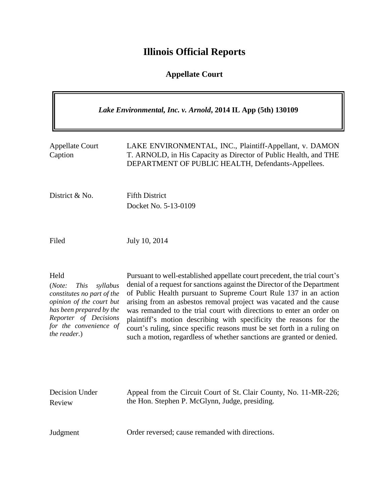# **Illinois Official Reports**

## **Appellate Court**

| Lake Environmental, Inc. v. Arnold, 2014 IL App (5th) 130109                                                                                                                                       |                                                                                                                                                                                                                                                                                                                                                                                                                                                                                                                                                                                                   |
|----------------------------------------------------------------------------------------------------------------------------------------------------------------------------------------------------|---------------------------------------------------------------------------------------------------------------------------------------------------------------------------------------------------------------------------------------------------------------------------------------------------------------------------------------------------------------------------------------------------------------------------------------------------------------------------------------------------------------------------------------------------------------------------------------------------|
| <b>Appellate Court</b><br>Caption                                                                                                                                                                  | LAKE ENVIRONMENTAL, INC., Plaintiff-Appellant, v. DAMON<br>T. ARNOLD, in His Capacity as Director of Public Health, and THE<br>DEPARTMENT OF PUBLIC HEALTH, Defendants-Appellees.                                                                                                                                                                                                                                                                                                                                                                                                                 |
| District & No.                                                                                                                                                                                     | <b>Fifth District</b><br>Docket No. 5-13-0109                                                                                                                                                                                                                                                                                                                                                                                                                                                                                                                                                     |
| Filed                                                                                                                                                                                              | July 10, 2014                                                                                                                                                                                                                                                                                                                                                                                                                                                                                                                                                                                     |
| Held<br><b>This</b><br>syllabus<br>(Note:<br>constitutes no part of the<br>opinion of the court but<br>has been prepared by the<br>Reporter of Decisions<br>for the convenience of<br>the reader.) | Pursuant to well-established appellate court precedent, the trial court's<br>denial of a request for sanctions against the Director of the Department<br>of Public Health pursuant to Supreme Court Rule 137 in an action<br>arising from an asbestos removal project was vacated and the cause<br>was remanded to the trial court with directions to enter an order on<br>plaintiff's motion describing with specificity the reasons for the<br>court's ruling, since specific reasons must be set forth in a ruling on<br>such a motion, regardless of whether sanctions are granted or denied. |
| Decision Under<br>Review                                                                                                                                                                           | Appeal from the Circuit Court of St. Clair County, No. 11-MR-226;<br>the Hon. Stephen P. McGlynn, Judge, presiding.                                                                                                                                                                                                                                                                                                                                                                                                                                                                               |
| Judgment                                                                                                                                                                                           | Order reversed; cause remanded with directions.                                                                                                                                                                                                                                                                                                                                                                                                                                                                                                                                                   |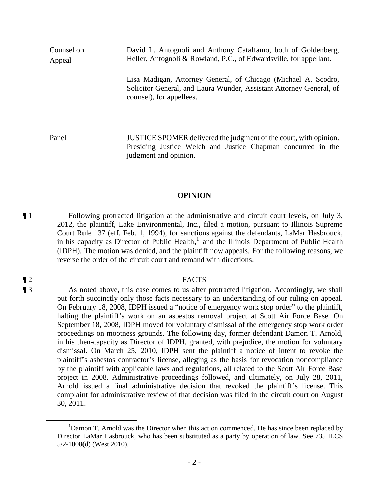Counsel on Appeal David L. Antognoli and Anthony Catalfamo, both of Goldenberg, Heller, Antognoli & Rowland, P.C., of Edwardsville, for appellant. Lisa Madigan, Attorney General, of Chicago (Michael A. Scodro, Solicitor General, and Laura Wunder, Assistant Attorney General, of counsel), for appellees. Panel JUSTICE SPOMER delivered the judgment of the court, with opinion.

Presiding Justice Welch and Justice Chapman concurred in the judgment and opinion.

### **OPINION**

¶ 1 Following protracted litigation at the administrative and circuit court levels, on July 3, 2012, the plaintiff, Lake Environmental, Inc., filed a motion, pursuant to Illinois Supreme Court Rule 137 (eff. Feb. 1, 1994), for sanctions against the defendants, LaMar Hasbrouck, in his capacity as Director of Public Health,<sup>1</sup> and the Illinois Department of Public Health (IDPH). The motion was denied, and the plaintiff now appeals. For the following reasons, we reverse the order of the circuit court and remand with directions.

### ¶ 2 FACTS

¶ 3 As noted above, this case comes to us after protracted litigation. Accordingly, we shall put forth succinctly only those facts necessary to an understanding of our ruling on appeal. On February 18, 2008, IDPH issued a "notice of emergency work stop order" to the plaintiff, halting the plaintiff's work on an asbestos removal project at Scott Air Force Base. On September 18, 2008, IDPH moved for voluntary dismissal of the emergency stop work order proceedings on mootness grounds. The following day, former defendant Damon T. Arnold, in his then-capacity as Director of IDPH, granted, with prejudice, the motion for voluntary dismissal. On March 25, 2010, IDPH sent the plaintiff a notice of intent to revoke the plaintiff's asbestos contractor's license, alleging as the basis for revocation noncompliance by the plaintiff with applicable laws and regulations, all related to the Scott Air Force Base project in 2008. Administrative proceedings followed, and ultimately, on July 28, 2011, Arnold issued a final administrative decision that revoked the plaintiff's license. This complaint for administrative review of that decision was filed in the circuit court on August 30, 2011.

 $\overline{a}$ 

<sup>&</sup>lt;sup>1</sup>Damon T. Arnold was the Director when this action commenced. He has since been replaced by Director LaMar Hasbrouck, who has been substituted as a party by operation of law. See 735 ILCS 5/2-1008(d) (West 2010).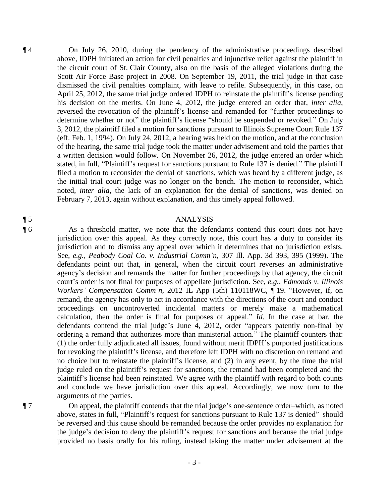¶ 4 On July 26, 2010, during the pendency of the administrative proceedings described above, IDPH initiated an action for civil penalties and injunctive relief against the plaintiff in the circuit court of St. Clair County, also on the basis of the alleged violations during the Scott Air Force Base project in 2008. On September 19, 2011, the trial judge in that case dismissed the civil penalties complaint, with leave to refile. Subsequently, in this case, on April 25, 2012, the same trial judge ordered IDPH to reinstate the plaintiff's license pending his decision on the merits. On June 4, 2012, the judge entered an order that, *inter alia*, reversed the revocation of the plaintiff's license and remanded for "further proceedings to determine whether or not" the plaintiff's license "should be suspended or revoked." On July 3, 2012, the plaintiff filed a motion for sanctions pursuant to Illinois Supreme Court Rule 137 (eff. Feb. 1, 1994). On July 24, 2012, a hearing was held on the motion, and at the conclusion of the hearing, the same trial judge took the matter under advisement and told the parties that a written decision would follow. On November 26, 2012, the judge entered an order which stated, in full, "Plaintiff's request for sanctions pursuant to Rule 137 is denied." The plaintiff filed a motion to reconsider the denial of sanctions, which was heard by a different judge, as the initial trial court judge was no longer on the bench. The motion to reconsider, which noted, *inter alia*, the lack of an explanation for the denial of sanctions, was denied on February 7, 2013, again without explanation, and this timely appeal followed.

### ¶ 5 ANALYSIS

¶ 6 As a threshold matter, we note that the defendants contend this court does not have jurisdiction over this appeal. As they correctly note, this court has a duty to consider its jurisdiction and to dismiss any appeal over which it determines that no jurisdiction exists. See, *e.g.*, *Peabody Coal Co. v. Industrial Comm'n*, 307 Ill. App. 3d 393, 395 (1999). The defendants point out that, in general, when the circuit court reverses an administrative agency's decision and remands the matter for further proceedings by that agency, the circuit court's order is not final for purposes of appellate jurisdiction. See, *e.g.*, *Edmonds v. Illinois Workers' Compensation Comm'n*, 2012 IL App (5th) 110118WC, ¶ 19. "However, if, on remand, the agency has only to act in accordance with the directions of the court and conduct proceedings on uncontroverted incidental matters or merely make a mathematical calculation, then the order is final for purposes of appeal." *Id*. In the case at bar, the defendants contend the trial judge's June 4, 2012, order "appears patently non-final by ordering a remand that authorizes more than ministerial action." The plaintiff counters that: (1) the order fully adjudicated all issues, found without merit IDPH's purported justifications for revoking the plaintiff's license, and therefore left IDPH with no discretion on remand and no choice but to reinstate the plaintiff's license, and (2) in any event, by the time the trial judge ruled on the plaintiff's request for sanctions, the remand had been completed and the plaintiff's license had been reinstated. We agree with the plaintiff with regard to both counts and conclude we have jurisdiction over this appeal. Accordingly, we now turn to the arguments of the parties.

¶ 7 On appeal, the plaintiff contends that the trial judge's one-sentence order–which, as noted above, states in full, "Plaintiff's request for sanctions pursuant to Rule 137 is denied"–should be reversed and this cause should be remanded because the order provides no explanation for the judge's decision to deny the plaintiff's request for sanctions and because the trial judge provided no basis orally for his ruling, instead taking the matter under advisement at the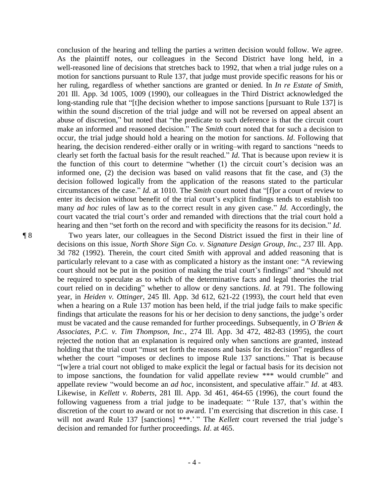conclusion of the hearing and telling the parties a written decision would follow. We agree. As the plaintiff notes, our colleagues in the Second District have long held, in a well-reasoned line of decisions that stretches back to 1992, that when a trial judge rules on a motion for sanctions pursuant to Rule 137, that judge must provide specific reasons for his or her ruling, regardless of whether sanctions are granted or denied. In *In re Estate of Smith*, 201 Ill. App. 3d 1005, 1009 (1990), our colleagues in the Third District acknowledged the long-standing rule that "[t]he decision whether to impose sanctions [pursuant to Rule 137] is within the sound discretion of the trial judge and will not be reversed on appeal absent an abuse of discretion," but noted that "the predicate to such deference is that the circuit court make an informed and reasoned decision." The *Smith* court noted that for such a decision to occur, the trial judge should hold a hearing on the motion for sanctions. *Id*. Following that hearing, the decision rendered–either orally or in writing–with regard to sanctions "needs to clearly set forth the factual basis for the result reached." *Id*. That is because upon review it is the function of this court to determine "whether (1) the circuit court's decision was an informed one, (2) the decision was based on valid reasons that fit the case, and (3) the decision followed logically from the application of the reasons stated to the particular circumstances of the case." *Id*. at 1010. The *Smith* court noted that "[f]or a court of review to enter its decision without benefit of the trial court's explicit findings tends to establish too many *ad hoc* rules of law as to the correct result in any given case." *Id*. Accordingly, the court vacated the trial court's order and remanded with directions that the trial court hold a hearing and then "set forth on the record and with specificity the reasons for its decision." *Id*.

¶ 8 Two years later, our colleagues in the Second District issued the first in their line of decisions on this issue, *North Shore Sign Co. v. Signature Design Group, Inc.*, 237 Ill. App. 3d 782 (1992). Therein, the court cited *Smith* with approval and added reasoning that is particularly relevant to a case with as complicated a history as the instant one: "A reviewing court should not be put in the position of making the trial court's findings" and "should not be required to speculate as to which of the determinative facts and legal theories the trial court relied on in deciding" whether to allow or deny sanctions. *Id*. at 791. The following year, in *Heiden v. Ottinger*, 245 Ill. App. 3d 612, 621-22 (1993), the court held that even when a hearing on a Rule 137 motion has been held, if the trial judge fails to make specific findings that articulate the reasons for his or her decision to deny sanctions, the judge's order must be vacated and the cause remanded for further proceedings. Subsequently, in *O'Brien & Associates, P.C. v. Tim Thompson, Inc.*, 274 Ill. App. 3d 472, 482-83 (1995), the court rejected the notion that an explanation is required only when sanctions are granted, instead holding that the trial court "must set forth the reasons and basis for its decision" regardless of whether the court "imposes or declines to impose Rule 137 sanctions." That is because "[w]ere a trial court not obliged to make explicit the legal or factual basis for its decision not to impose sanctions, the foundation for valid appellate review \*\*\* would crumble" and appellate review "would become an *ad hoc*, inconsistent, and speculative affair." *Id*. at 483. Likewise, in *Kellett v. Roberts*, 281 Ill. App. 3d 461, 464-65 (1996), the court found the following vagueness from a trial judge to be inadequate: " 'Rule 137, that's within the discretion of the court to award or not to award. I'm exercising that discretion in this case. I will not award Rule 137 [sanctions] \*\*\*.' " The *Kellett* court reversed the trial judge's decision and remanded for further proceedings. *Id*. at 465.